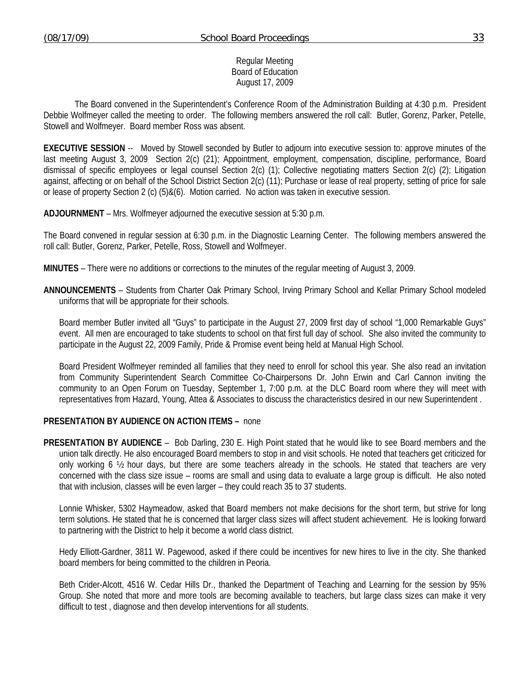Regular Meeting Board of Education August 17, 2009

 The Board convened in the Superintendent's Conference Room of the Administration Building at 4:30 p.m. President Debbie Wolfmeyer called the meeting to order. The following members answered the roll call: Butler, Gorenz, Parker, Petelle, Stowell and Wolfmeyer. Board member Ross was absent.

**EXECUTIVE SESSION** -- Moved by Stowell seconded by Butler to adjourn into executive session to: approve minutes of the last meeting August 3, 2009 Section 2(c) (21); Appointment, employment, compensation, discipline, performance, Board dismissal of specific employees or legal counsel Section 2(c) (1); Collective negotiating matters Section 2(c) (2); Litigation against, affecting or on behalf of the School District Section 2(c) (11); Purchase or lease of real property, setting of price for sale or lease of property Section 2 (c) (5)&(6). Motion carried. No action was taken in executive session.

**ADJOURNMENT** – Mrs. Wolfmeyer adjourned the executive session at 5:30 p.m.

The Board convened in regular session at 6:30 p.m. in the Diagnostic Learning Center. The following members answered the roll call: Butler, Gorenz, Parker, Petelle, Ross, Stowell and Wolfmeyer.

**MINUTES** – There were no additions or corrections to the minutes of the regular meeting of August 3, 2009.

**ANNOUNCEMENTS** – Students from Charter Oak Primary School, Irving Primary School and Kellar Primary School modeled uniforms that will be appropriate for their schools.

 Board member Butler invited all "Guys" to participate in the August 27, 2009 first day of school "1,000 Remarkable Guys" event. All men are encouraged to take students to school on that first full day of school. She also invited the community to participate in the August 22, 2009 Family, Pride & Promise event being held at Manual High School.

 Board President Wolfmeyer reminded all families that they need to enroll for school this year. She also read an invitation from Community Superintendent Search Committee Co-Chairpersons Dr. John Erwin and Carl Cannon inviting the community to an Open Forum on Tuesday, September 1, 7:00 p.m. at the DLC Board room where they will meet with representatives from Hazard, Young, Attea & Associates to discuss the characteristics desired in our new Superintendent .

## **PRESENTATION BY AUDIENCE ON ACTION ITEMS –** none

**PRESENTATION BY AUDIENCE** – Bob Darling, 230 E. High Point stated that he would like to see Board members and the union talk directly. He also encouraged Board members to stop in and visit schools. He noted that teachers get criticized for only working 6  $\frac{1}{2}$  hour days, but there are some teachers already in the schools. He stated that teachers are very concerned with the class size issue – rooms are small and using data to evaluate a large group is difficult. He also noted that with inclusion, classes will be even larger – they could reach 35 to 37 students.

 Lonnie Whisker, 5302 Haymeadow, asked that Board members not make decisions for the short term, but strive for long term solutions. He stated that he is concerned that larger class sizes will affect student achievement. He is looking forward to partnering with the District to help it become a world class district.

 Hedy Elliott-Gardner, 3811 W. Pagewood, asked if there could be incentives for new hires to live in the city. She thanked board members for being committed to the children in Peoria.

 Beth Crider-Alcott, 4516 W. Cedar Hills Dr., thanked the Department of Teaching and Learning for the session by 95% Group. She noted that more and more tools are becoming available to teachers, but large class sizes can make it very difficult to test , diagnose and then develop interventions for all students.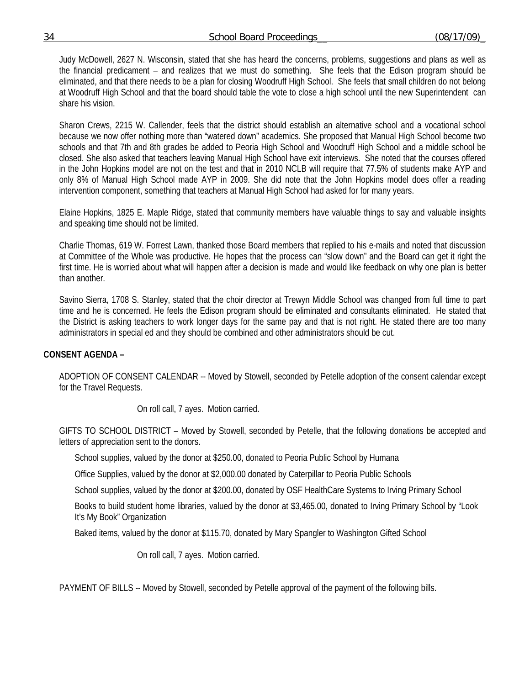## 34 School Board Proceedings\_\_ (08/17/09)\_

 Judy McDowell, 2627 N. Wisconsin, stated that she has heard the concerns, problems, suggestions and plans as well as the financial predicament – and realizes that we must do something. She feels that the Edison program should be eliminated, and that there needs to be a plan for closing Woodruff High School. She feels that small children do not belong at Woodruff High School and that the board should table the vote to close a high school until the new Superintendent can share his vision.

 Sharon Crews, 2215 W. Callender, feels that the district should establish an alternative school and a vocational school because we now offer nothing more than "watered down" academics. She proposed that Manual High School become two schools and that 7th and 8th grades be added to Peoria High School and Woodruff High School and a middle school be closed. She also asked that teachers leaving Manual High School have exit interviews. She noted that the courses offered in the John Hopkins model are not on the test and that in 2010 NCLB will require that 77.5% of students make AYP and only 8% of Manual High School made AYP in 2009. She did note that the John Hopkins model does offer a reading intervention component, something that teachers at Manual High School had asked for for many years.

 Elaine Hopkins, 1825 E. Maple Ridge, stated that community members have valuable things to say and valuable insights and speaking time should not be limited.

 Charlie Thomas, 619 W. Forrest Lawn, thanked those Board members that replied to his e-mails and noted that discussion at Committee of the Whole was productive. He hopes that the process can "slow down" and the Board can get it right the first time. He is worried about what will happen after a decision is made and would like feedback on why one plan is better than another.

 Savino Sierra, 1708 S. Stanley, stated that the choir director at Trewyn Middle School was changed from full time to part time and he is concerned. He feels the Edison program should be eliminated and consultants eliminated. He stated that the District is asking teachers to work longer days for the same pay and that is not right. He stated there are too many administrators in special ed and they should be combined and other administrators should be cut.

# **CONSENT AGENDA –**

ADOPTION OF CONSENT CALENDAR -- Moved by Stowell, seconded by Petelle adoption of the consent calendar except for the Travel Requests.

On roll call, 7 ayes. Motion carried.

GIFTS TO SCHOOL DISTRICT – Moved by Stowell, seconded by Petelle, that the following donations be accepted and letters of appreciation sent to the donors.

School supplies, valued by the donor at \$250.00, donated to Peoria Public School by Humana

Office Supplies, valued by the donor at \$2,000.00 donated by Caterpillar to Peoria Public Schools

School supplies, valued by the donor at \$200.00, donated by OSF HealthCare Systems to Irving Primary School

Books to build student home libraries, valued by the donor at \$3,465.00, donated to Irving Primary School by "Look It's My Book" Organization

Baked items, valued by the donor at \$115.70, donated by Mary Spangler to Washington Gifted School

On roll call, 7 ayes. Motion carried.

PAYMENT OF BILLS -- Moved by Stowell, seconded by Petelle approval of the payment of the following bills.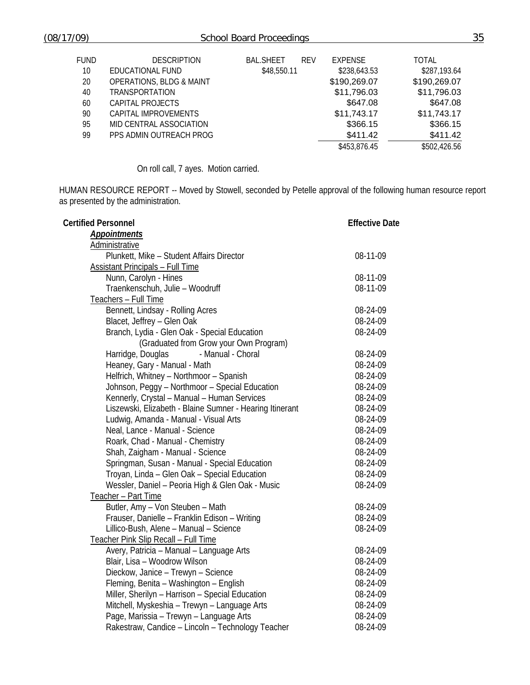| FUND<br>10 <sup>°</sup><br>20<br>40<br>60 | <b>DESCRIPTION</b><br>EDUCATIONAL FUND<br><b>OPERATIONS, BLDG &amp; MAINT</b><br><b>TRANSPORTATION</b><br>CAPITAL PROJECTS | <b>BAL.SHEET</b><br><b>REV</b><br>\$48,550.11 | <b>EXPENSE</b><br>\$238,643.53<br>\$190,269.07<br>\$11,796.03<br>\$647.08 | <b>TOTAL</b><br>\$287,193.64<br>\$190,269.07<br>\$11,796.03<br>\$647.08 |
|-------------------------------------------|----------------------------------------------------------------------------------------------------------------------------|-----------------------------------------------|---------------------------------------------------------------------------|-------------------------------------------------------------------------|
| 90<br>95                                  | CAPITAL IMPROVEMENTS<br>MID CENTRAL ASSOCIATION                                                                            |                                               | \$11,743.17<br>\$366.15                                                   | \$11,743.17<br>\$366.15                                                 |
| 99                                        | PPS ADMIN OUTREACH PROG                                                                                                    |                                               | \$411.42<br>\$453,876.45                                                  | \$411.42<br>\$502,426.56                                                |

On roll call, 7 ayes. Motion carried.

HUMAN RESOURCE REPORT -- Moved by Stowell, seconded by Petelle approval of the following human resource report as presented by the administration.

| <b>Certified Personnel</b>                               | <b>Effective Date</b> |  |
|----------------------------------------------------------|-----------------------|--|
| <b>Appointments</b>                                      |                       |  |
| Administrative                                           |                       |  |
| Plunkett, Mike - Student Affairs Director                | 08-11-09              |  |
| <b>Assistant Principals - Full Time</b>                  |                       |  |
| Nunn, Carolyn - Hines                                    | 08-11-09              |  |
| Traenkenschuh, Julie - Woodruff                          | 08-11-09              |  |
| Teachers - Full Time                                     |                       |  |
| Bennett, Lindsay - Rolling Acres                         | 08-24-09              |  |
| Blacet, Jeffrey - Glen Oak                               | 08-24-09              |  |
| Branch, Lydia - Glen Oak - Special Education             | 08-24-09              |  |
| (Graduated from Grow your Own Program)                   |                       |  |
| Harridge, Douglas<br>- Manual - Choral                   | 08-24-09              |  |
| Heaney, Gary - Manual - Math                             | 08-24-09              |  |
| Helfrich, Whitney - Northmoor - Spanish                  | 08-24-09              |  |
| Johnson, Peggy - Northmoor - Special Education           | 08-24-09              |  |
| Kennerly, Crystal - Manual - Human Services              | 08-24-09              |  |
| Liszewski, Elizabeth - Blaine Sumner - Hearing Itinerant | 08-24-09              |  |
| Ludwig, Amanda - Manual - Visual Arts                    | 08-24-09              |  |
| Neal, Lance - Manual - Science                           | 08-24-09              |  |
| Roark, Chad - Manual - Chemistry                         | 08-24-09              |  |
| Shah, Zaigham - Manual - Science                         | 08-24-09              |  |
| Springman, Susan - Manual - Special Education            | 08-24-09              |  |
| Troyan, Linda - Glen Oak - Special Education             | 08-24-09              |  |
| Wessler, Daniel - Peoria High & Glen Oak - Music         | 08-24-09              |  |
| Teacher - Part Time                                      |                       |  |
| Butler, Amy - Von Steuben - Math                         | 08-24-09              |  |
| Frauser, Danielle - Franklin Edison - Writing            | 08-24-09              |  |
| Lillico-Bush, Alene - Manual - Science                   | 08-24-09              |  |
| Teacher Pink Slip Recall - Full Time                     |                       |  |
| Avery, Patricia - Manual - Language Arts                 | 08-24-09              |  |
| Blair, Lisa - Woodrow Wilson                             | 08-24-09              |  |
| Dieckow, Janice - Trewyn - Science                       | 08-24-09              |  |
| Fleming, Benita - Washington - English                   | 08-24-09              |  |
| Miller, Sherilyn - Harrison - Special Education          | 08-24-09              |  |
| Mitchell, Myskeshia - Trewyn - Language Arts             | 08-24-09              |  |
| Page, Marissia - Trewyn - Language Arts                  | 08-24-09              |  |
| Rakestraw, Candice - Lincoln - Technology Teacher        | 08-24-09              |  |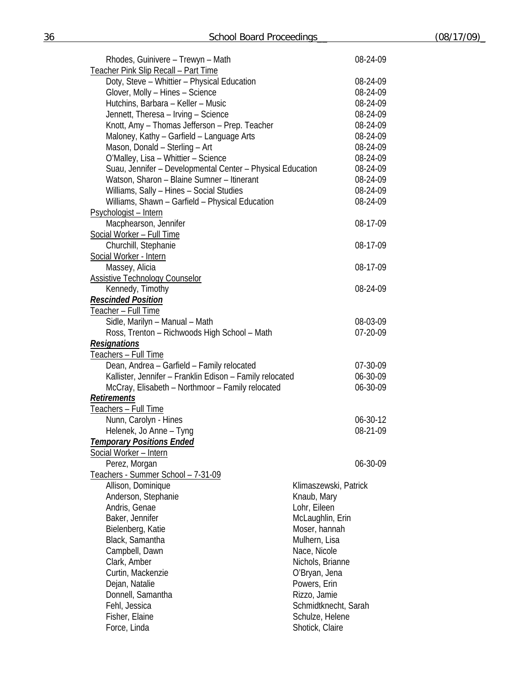| Rhodes, Guinivere - Trewyn - Math                                         |                       | 08-24-09 |  |
|---------------------------------------------------------------------------|-----------------------|----------|--|
| Teacher Pink Slip Recall - Part Time                                      |                       |          |  |
| Doty, Steve - Whittier - Physical Education                               |                       |          |  |
| Glover, Molly - Hines - Science                                           |                       | 08-24-09 |  |
| Hutchins, Barbara - Keller - Music                                        |                       | 08-24-09 |  |
| Jennett, Theresa - Irving - Science                                       |                       | 08-24-09 |  |
| Knott, Amy - Thomas Jefferson - Prep. Teacher                             |                       | 08-24-09 |  |
| Maloney, Kathy - Garfield - Language Arts                                 |                       | 08-24-09 |  |
| Mason, Donald - Sterling - Art                                            |                       | 08-24-09 |  |
| O'Malley, Lisa - Whittier - Science                                       |                       | 08-24-09 |  |
| Suau, Jennifer - Developmental Center - Physical Education                |                       | 08-24-09 |  |
| Watson, Sharon - Blaine Sumner - Itinerant                                |                       | 08-24-09 |  |
| Williams, Sally - Hines - Social Studies                                  |                       | 08-24-09 |  |
| Williams, Shawn - Garfield - Physical Education                           |                       | 08-24-09 |  |
| Psychologist - Intern                                                     |                       |          |  |
| Macphearson, Jennifer                                                     |                       | 08-17-09 |  |
| Social Worker - Full Time                                                 |                       |          |  |
| Churchill, Stephanie                                                      |                       | 08-17-09 |  |
| Social Worker - Intern                                                    |                       |          |  |
| Massey, Alicia                                                            |                       | 08-17-09 |  |
| <b>Assistive Technology Counselor</b>                                     |                       |          |  |
| Kennedy, Timothy                                                          |                       | 08-24-09 |  |
| <b>Rescinded Position</b>                                                 |                       |          |  |
| Teacher - Full Time                                                       |                       |          |  |
| Sidle, Marilyn - Manual - Math                                            |                       | 08-03-09 |  |
| Ross, Trenton - Richwoods High School - Math                              |                       | 07-20-09 |  |
|                                                                           |                       |          |  |
| <b>Resignations</b>                                                       |                       |          |  |
| <u>Teachers – Full Time</u><br>Dean, Andrea - Garfield - Family relocated |                       | 07-30-09 |  |
| Kallister, Jennifer - Franklin Edison - Family relocated                  |                       | 06-30-09 |  |
|                                                                           |                       | 06-30-09 |  |
| McCray, Elisabeth - Northmoor - Family relocated<br><b>Retirements</b>    |                       |          |  |
|                                                                           |                       |          |  |
| Teachers - Full Time                                                      |                       |          |  |
| Nunn, Carolyn - Hines                                                     |                       | 06-30-12 |  |
| Helenek, Jo Anne - Tyng                                                   |                       | 08-21-09 |  |
| <b>Temporary Positions Ended</b>                                          |                       |          |  |
| <b>Social Worker - Intern</b>                                             |                       |          |  |
| Perez, Morgan                                                             |                       | 06-30-09 |  |
| Teachers - Summer School - 7-31-09                                        |                       |          |  |
| Allison, Dominique                                                        | Klimaszewski, Patrick |          |  |
| Anderson, Stephanie                                                       | Knaub, Mary           |          |  |
| Andris, Genae                                                             | Lohr, Eileen          |          |  |
| Baker, Jennifer                                                           | McLaughlin, Erin      |          |  |
| Bielenberg, Katie                                                         | Moser, hannah         |          |  |
| Black, Samantha                                                           | Mulhern, Lisa         |          |  |
| Campbell, Dawn                                                            | Nace, Nicole          |          |  |
| Clark, Amber                                                              | Nichols, Brianne      |          |  |
| Curtin, Mackenzie                                                         | O'Bryan, Jena         |          |  |
| Dejan, Natalie                                                            | Powers, Erin          |          |  |
| Donnell, Samantha                                                         | Rizzo, Jamie          |          |  |
| Fehl, Jessica                                                             | Schmidtknecht, Sarah  |          |  |
| Fisher, Elaine                                                            | Schulze, Helene       |          |  |
| Force, Linda                                                              | Shotick, Claire       |          |  |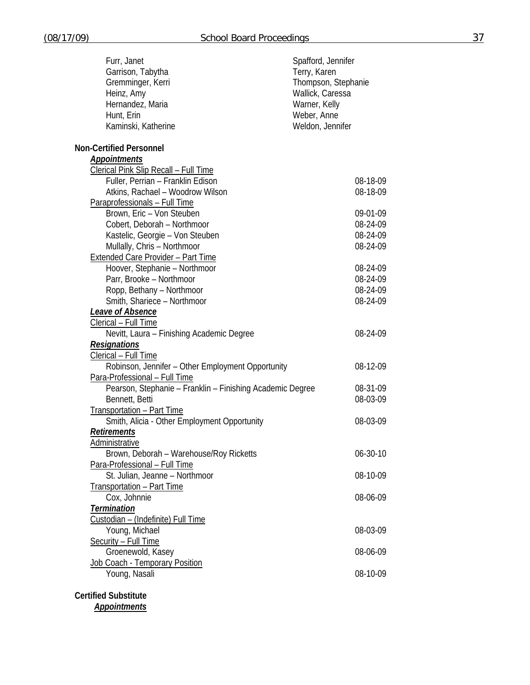| Furr, Janet                                               | Spafford, Jennifer  |
|-----------------------------------------------------------|---------------------|
| Garrison, Tabytha                                         | Terry, Karen        |
| Gremminger, Kerri                                         | Thompson, Stephanie |
| Heinz, Amy                                                | Wallick, Caressa    |
| Hernandez, Maria                                          | Warner, Kelly       |
| Hunt, Erin                                                | Weber, Anne         |
| Kaminski, Katherine                                       | Weldon, Jennifer    |
|                                                           |                     |
| <b>Non-Certified Personnel</b>                            |                     |
| <b>Appointments</b>                                       |                     |
| <b>Clerical Pink Slip Recall - Full Time</b>              |                     |
| Fuller, Perrian - Franklin Edison                         | 08-18-09            |
| Atkins, Rachael - Woodrow Wilson                          | 08-18-09            |
| Paraprofessionals - Full Time                             |                     |
| Brown, Eric - Von Steuben                                 | 09-01-09            |
| Cobert, Deborah - Northmoor                               | 08-24-09            |
| Kastelic, Georgie - Von Steuben                           | 08-24-09            |
| Mullally, Chris - Northmoor                               | 08-24-09            |
| <b>Extended Care Provider - Part Time</b>                 |                     |
| Hoover, Stephanie - Northmoor                             | 08-24-09            |
| Parr, Brooke - Northmoor                                  | 08-24-09            |
| Ropp, Bethany - Northmoor                                 | 08-24-09            |
| Smith, Shariece - Northmoor                               | 08-24-09            |
| <b>Leave of Absence</b>                                   |                     |
| Clerical - Full Time                                      |                     |
| Nevitt, Laura - Finishing Academic Degree                 | 08-24-09            |
| <b>Resignations</b>                                       |                     |
| Clerical - Full Time                                      |                     |
| Robinson, Jennifer - Other Employment Opportunity         | 08-12-09            |
| Para-Professional - Full Time                             |                     |
| Pearson, Stephanie – Franklin – Finishing Academic Degree | 08-31-09            |
| Bennett, Betti                                            | 08-03-09            |
| <b>Transportation - Part Time</b>                         |                     |
| Smith, Alicia - Other Employment Opportunity              | 08-03-09            |
| <b>Retirements</b>                                        |                     |
| <b>Administrative</b>                                     |                     |
| Brown, Deborah - Warehouse/Roy Ricketts                   | 06-30-10            |
| Para-Professional - Full Time                             |                     |
| St. Julian, Jeanne - Northmoor                            | 08-10-09            |
| <b>Transportation - Part Time</b>                         |                     |
| Cox, Johnnie                                              | 08-06-09            |
| <b>Termination</b>                                        |                     |
| Custodian - (Indefinite) Full Time                        |                     |
| Young, Michael                                            | 08-03-09            |
| Security - Full Time                                      |                     |
| Groenewold, Kasey                                         | 08-06-09            |
| Job Coach - Temporary Position                            |                     |
| Young, Nasali                                             | 08-10-09            |
|                                                           |                     |
| <b>Certified Substitute</b>                               |                     |

*Appointments*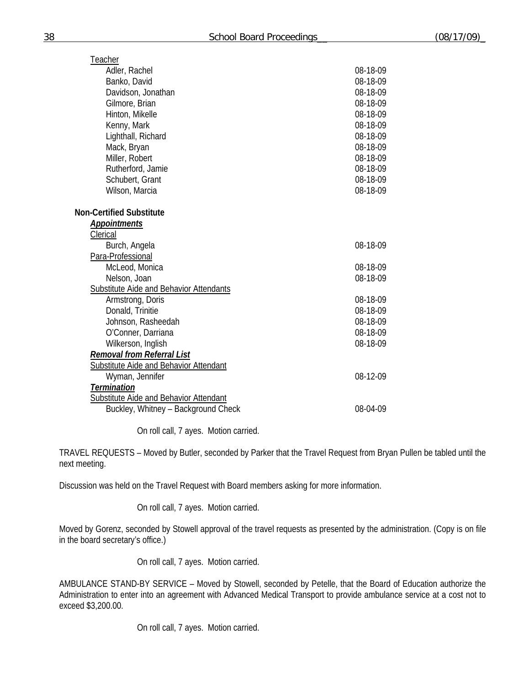| Teacher                                        |          |
|------------------------------------------------|----------|
| Adler, Rachel                                  | 08-18-09 |
| Banko, David                                   | 08-18-09 |
| Davidson, Jonathan                             | 08-18-09 |
| Gilmore, Brian                                 | 08-18-09 |
| Hinton, Mikelle                                | 08-18-09 |
| Kenny, Mark                                    | 08-18-09 |
| Lighthall, Richard                             | 08-18-09 |
| Mack, Bryan                                    | 08-18-09 |
| Miller, Robert                                 | 08-18-09 |
| Rutherford, Jamie                              | 08-18-09 |
| Schubert, Grant                                | 08-18-09 |
| Wilson, Marcia                                 | 08-18-09 |
| <b>Non-Certified Substitute</b>                |          |
| <b>Appointments</b>                            |          |
| Clerical                                       |          |
| Burch, Angela                                  | 08-18-09 |
| Para-Professional                              |          |
| McLeod, Monica                                 | 08-18-09 |
| Nelson, Joan                                   | 08-18-09 |
| <b>Substitute Aide and Behavior Attendants</b> |          |
| Armstrong, Doris                               | 08-18-09 |
| Donald, Trinitie                               | 08-18-09 |
| Johnson, Rasheedah                             | 08-18-09 |
| O'Conner, Darriana                             | 08-18-09 |
| Wilkerson, Inglish                             | 08-18-09 |
| <b>Removal from Referral List</b>              |          |
| <b>Substitute Aide and Behavior Attendant</b>  |          |
| Wyman, Jennifer                                | 08-12-09 |
| <b>Termination</b>                             |          |
| <b>Substitute Aide and Behavior Attendant</b>  |          |
| Buckley, Whitney - Background Check            | 08-04-09 |

On roll call, 7 ayes. Motion carried.

TRAVEL REQUESTS – Moved by Butler, seconded by Parker that the Travel Request from Bryan Pullen be tabled until the next meeting.

Discussion was held on the Travel Request with Board members asking for more information.

On roll call, 7 ayes. Motion carried.

Moved by Gorenz, seconded by Stowell approval of the travel requests as presented by the administration. (Copy is on file in the board secretary's office.)

On roll call, 7 ayes. Motion carried.

AMBULANCE STAND-BY SERVICE – Moved by Stowell, seconded by Petelle, that the Board of Education authorize the Administration to enter into an agreement with Advanced Medical Transport to provide ambulance service at a cost not to exceed \$3,200.00.

On roll call, 7 ayes. Motion carried.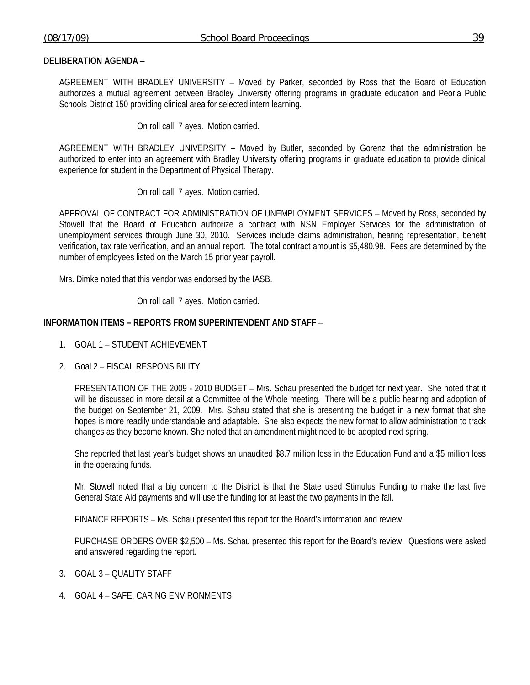## **DELIBERATION AGENDA** –

AGREEMENT WITH BRADLEY UNIVERSITY – Moved by Parker, seconded by Ross that the Board of Education authorizes a mutual agreement between Bradley University offering programs in graduate education and Peoria Public Schools District 150 providing clinical area for selected intern learning.

On roll call, 7 ayes. Motion carried.

AGREEMENT WITH BRADLEY UNIVERSITY – Moved by Butler, seconded by Gorenz that the administration be authorized to enter into an agreement with Bradley University offering programs in graduate education to provide clinical experience for student in the Department of Physical Therapy.

On roll call, 7 ayes. Motion carried.

APPROVAL OF CONTRACT FOR ADMINISTRATION OF UNEMPLOYMENT SERVICES – Moved by Ross, seconded by Stowell that the Board of Education authorize a contract with NSN Employer Services for the administration of unemployment services through June 30, 2010. Services include claims administration, hearing representation, benefit verification, tax rate verification, and an annual report. The total contract amount is \$5,480.98. Fees are determined by the number of employees listed on the March 15 prior year payroll.

Mrs. Dimke noted that this vendor was endorsed by the IASB.

On roll call, 7 ayes. Motion carried.

## **INFORMATION ITEMS – REPORTS FROM SUPERINTENDENT AND STAFF** –

- 1. GOAL 1 STUDENT ACHIEVEMENT
- 2. Goal 2 FISCAL RESPONSIBILITY

PRESENTATION OF THE 2009 - 2010 BUDGET – Mrs. Schau presented the budget for next year. She noted that it will be discussed in more detail at a Committee of the Whole meeting. There will be a public hearing and adoption of the budget on September 21, 2009. Mrs. Schau stated that she is presenting the budget in a new format that she hopes is more readily understandable and adaptable. She also expects the new format to allow administration to track changes as they become known. She noted that an amendment might need to be adopted next spring.

She reported that last year's budget shows an unaudited \$8.7 million loss in the Education Fund and a \$5 million loss in the operating funds.

Mr. Stowell noted that a big concern to the District is that the State used Stimulus Funding to make the last five General State Aid payments and will use the funding for at least the two payments in the fall.

FINANCE REPORTS – Ms. Schau presented this report for the Board's information and review.

 PURCHASE ORDERS OVER \$2,500 – Ms. Schau presented this report for the Board's review. Questions were asked and answered regarding the report.

- 3. GOAL 3 QUALITY STAFF
- 4. GOAL 4 SAFE, CARING ENVIRONMENTS